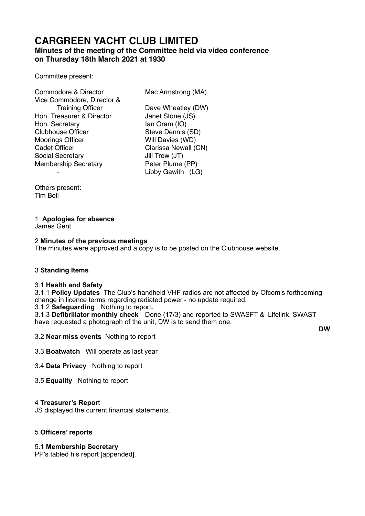# **CARGREEN YACHT CLUB LIMITED**

# **Minutes of the meeting of the Committee held via video conference on Thursday 18th March 2021 at 1930**

Committee present:

| Commodore & Director        |
|-----------------------------|
| Vice Commodore, Director &  |
| <b>Training Officer</b>     |
| Hon. Treasurer & Director   |
| Hon. Secretary              |
| <b>Clubhouse Officer</b>    |
| <b>Moorings Officer</b>     |
| <b>Cadet Officer</b>        |
| <b>Social Secretary</b>     |
| <b>Membership Secretary</b> |
|                             |

Mac Armstrong (MA) Dave Wheatley (DW) Janet Stone (JS) Ian Oram (IO) Steve Dennis (SD) Will Davies (WD) Clarissa Newall (CN) Jill Trew (JT) Peter Plume (PP) - Libby Gawith (LG)

Others present: Tim Bell

# 1 **Apologies for absence**

James Gent

# 2 **Minutes of the previous meetings**

The minutes were approved and a copy is to be posted on the Clubhouse website.

# 3 **Standing Items**

# 3.1 **Health and Safety**

3.1.1 **Policy Updates** The Club's handheld VHF radios are not affected by Ofcom's forthcoming change in licence terms regarding radiated power - no update required.

3.1.2 **Safeguarding** Nothing to report**.** 

3.1.3 **Defibrillator monthly check** Done (17/3) and reported to SWASFT & Lifelink. SWAST have requested a photograph of the unit, DW is to send them one.

3.2 **Near miss events** Nothing to report

**DW** 

3.3 **Boatwatch** Will operate as last year

3.4 **Data Privacy** Nothing to report

3.5 **Equality** Nothing to report

# 4 **Treasurer's Repor**t

JS displayed the current financial statements.

# 5 **Officers' reports**

# 5.1 **Membership Secretary**

PP's tabled his report [appended].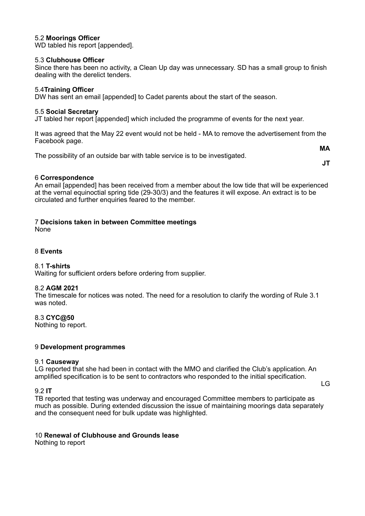### 5.2 **Moorings Officer**

WD tabled his report [appended].

### 5.3 **Clubhouse Officer**

Since there has been no activity, a Clean Up day was unnecessary. SD has a small group to finish dealing with the derelict tenders.

### 5.4**Training Officer**

DW has sent an email [appended] to Cadet parents about the start of the season.

### 5.5 **Social Secretary**

JT tabled her report [appended] which included the programme of events for the next year.

It was agreed that the May 22 event would not be held - MA to remove the advertisement from the Facebook page.

The possibility of an outside bar with table service is to be investigated.

**MA JT**

### 6 **Correspondence**

An email [appended] has been received from a member about the low tide that will be experienced at the vernal equinoctial spring tide (29-30/3) and the features it will expose. An extract is to be circulated and further enquiries feared to the member.

# 7 **Decisions taken in between Committee meetings**

None

# 8 **Events**

### 8.1 **T-shirts**

Waiting for sufficient orders before ordering from supplier.

### 8.2 **AGM 2021**

The timescale for notices was noted. The need for a resolution to clarify the wording of Rule 3.1 was noted.

8.3 **CYC@50** 

Nothing to report.

### 9 **Development programmes**

### 9.1 **Causeway**

LG reported that she had been in contact with the MMO and clarified the Club's application. An amplified specification is to be sent to contractors who responded to the initial specification.

### 9.2 **IT**

TB reported that testing was underway and encouraged Committee members to participate as much as possible. During extended discussion the issue of maintaining moorings data separately and the consequent need for bulk update was highlighted.

# 10 **Renewal of Clubhouse and Grounds lease**

Nothing to report

LG